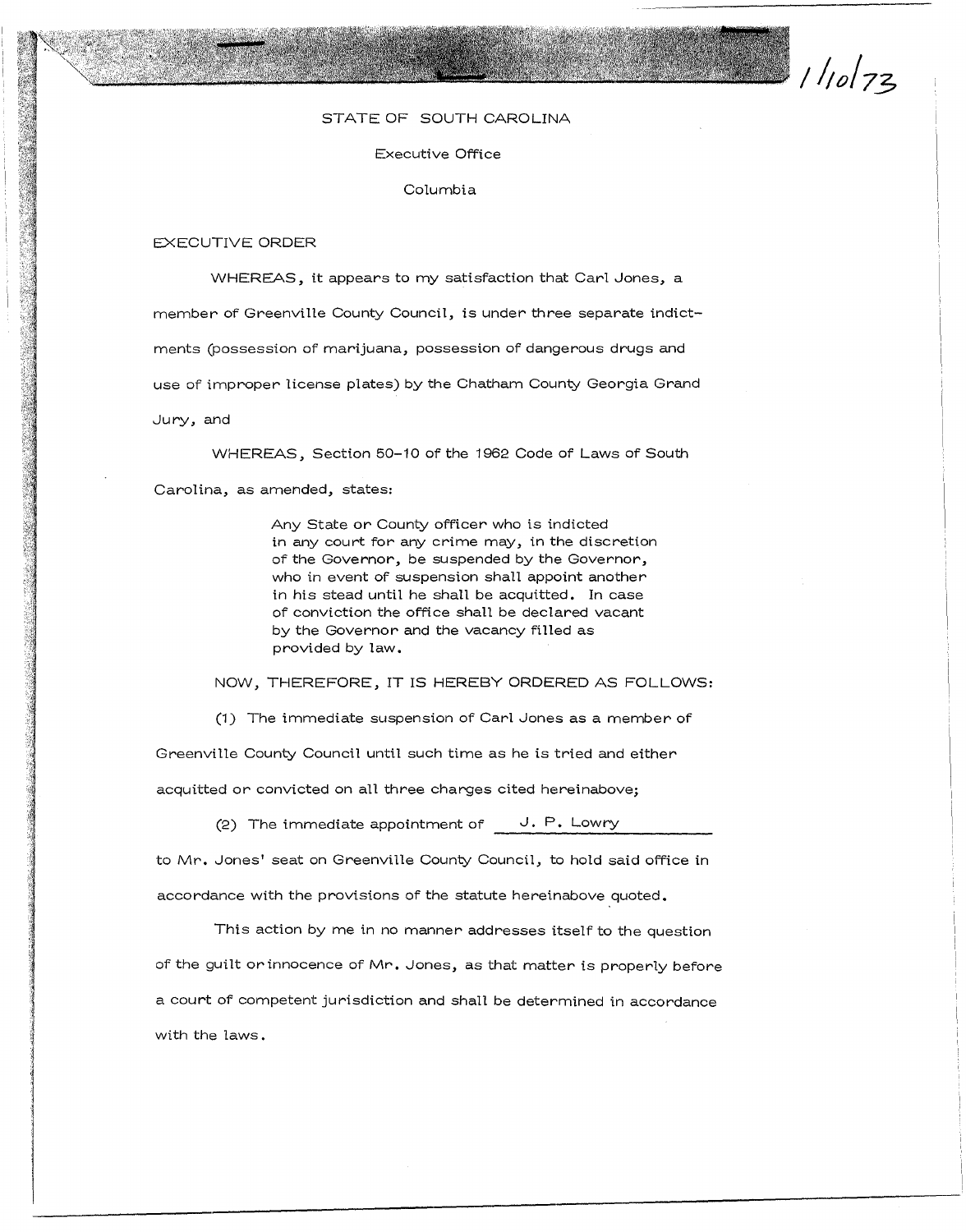$110173$ 

## STATE OF SOUTH CAROLINA

Executive Office

Columbia

## EXECUTIVE ORDER

WHEREAS, it appears to my satisfaction that Carl Jones, a member of Greenville County Council, is under three separate indictments (possession of marijuana, possession of dangerous drugs and use of improper license plates) by the Chatham County Georgia Grand Jury, and

WHEREAS, Section 50-10 of the 1962 Code of Laws of South Carolina, as amended, states:

> Any State or County officer who is indicted in any court for any crime may, in the discretion of the Governor, be suspended by the Governor, who in event of suspension shall appoint another in his stead until he shall be acquitted. In case of conviction the office shall be declared vacant by the Governor and the vacancy filled as provided by law.

NOW, THEREFORE, IT IS HEREBY ORDERED AS FOLLOWS:

(1) The immediate suspension of Carl Jones as a member of

Greenville County Council until such time as he is tried and either acquitted or convicted on all three charges cited hereinabove;

(2) The immediate appointment of **J. P.** Lowry

to Mr. Jones' seat on Greenville County Council, to hold said office in accordance with the provisions of the statute hereinabove quoted.

This action by me in no manner addresses itself to the question of the guilt or innocence of Mr. Jones, as that matter is properly before a court of competent jurisdiction and shall be determined in accordance with the laws.